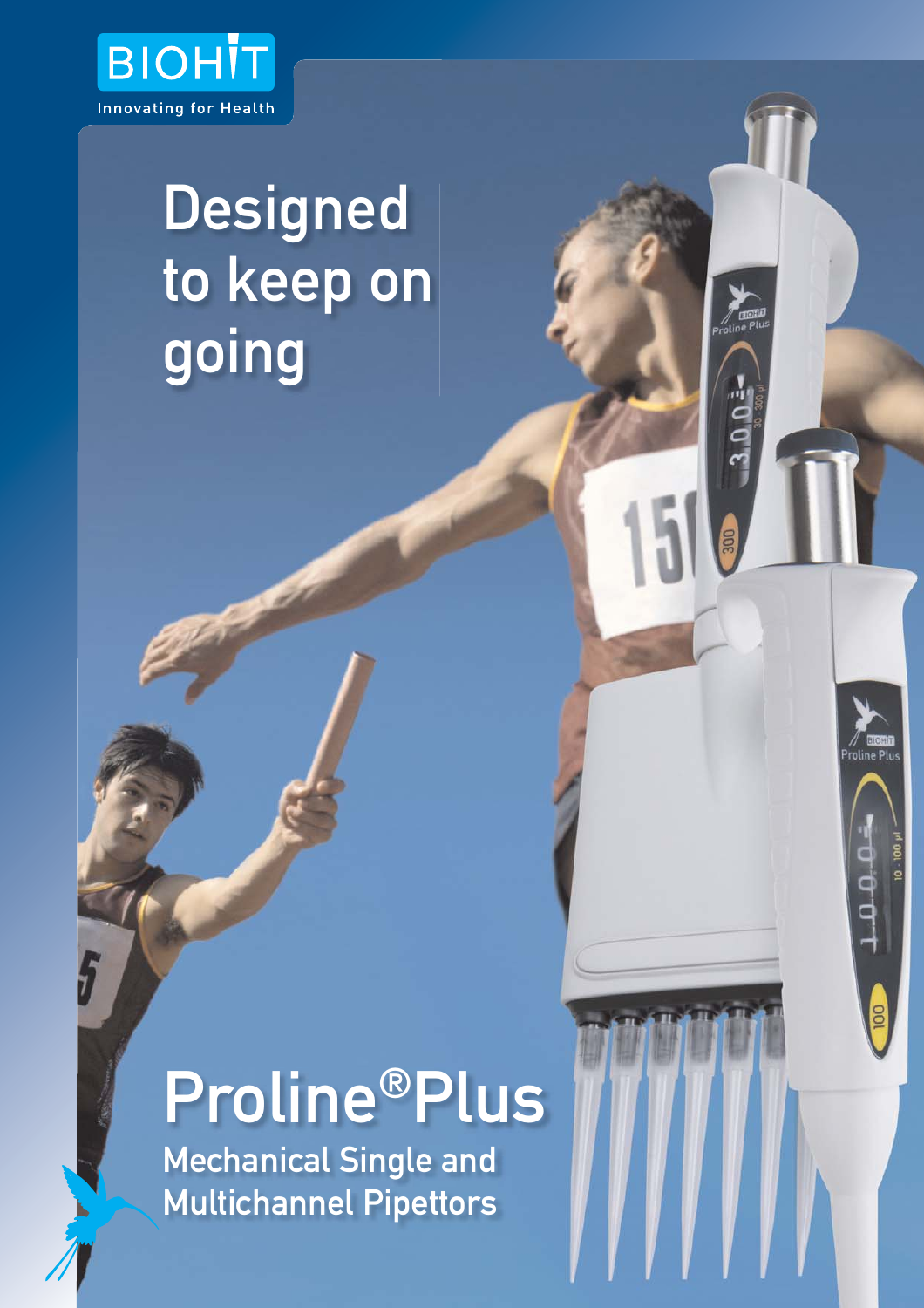

## **Designed** to keep on going

# Proline®Plus

 $0.01$ 

Mechanical Single and Multichannel Pipettors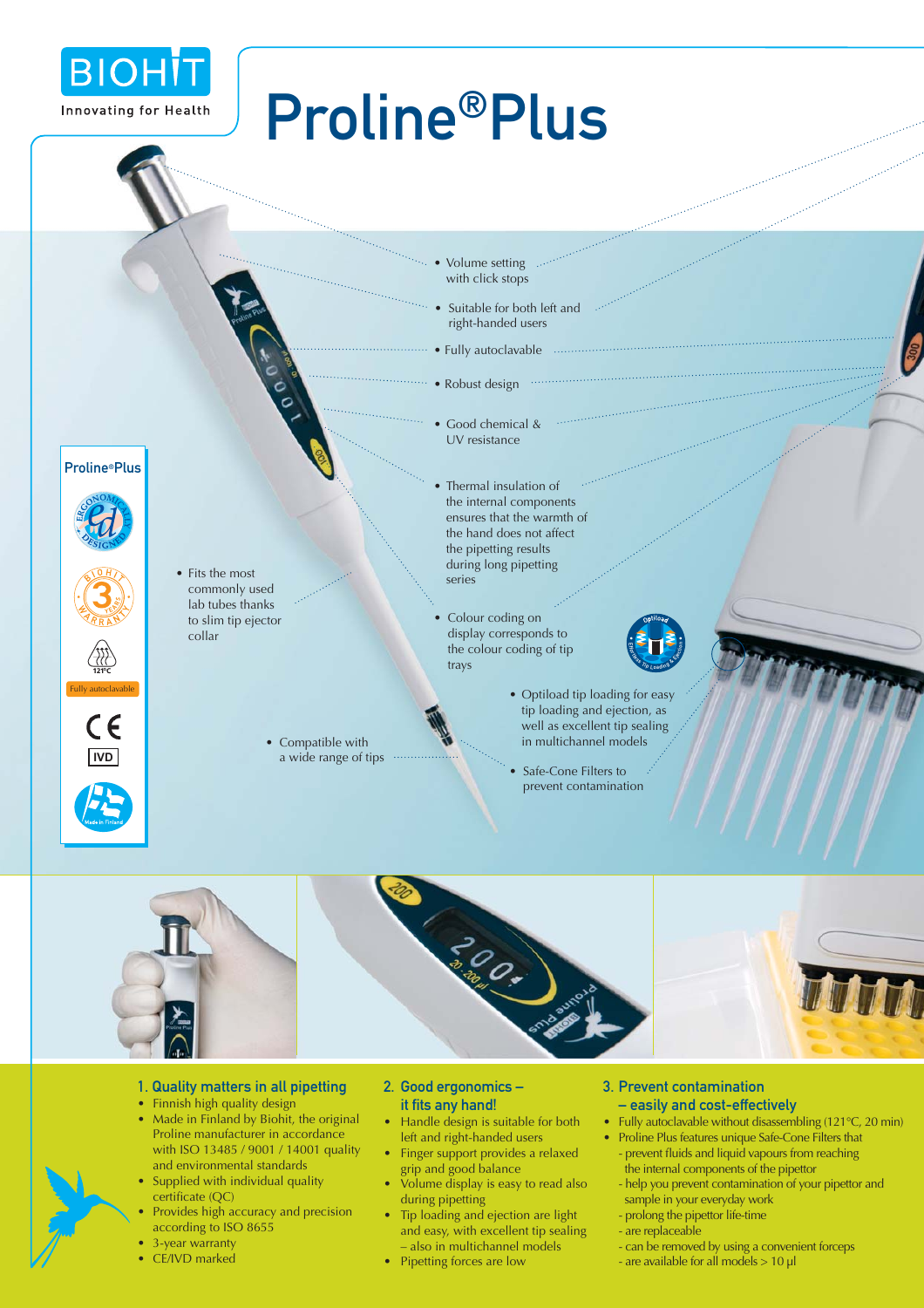

## Proline®Plus

- Volume setting with click stops
- Suitable for both left and right-handed users
- Fully autoclavable
- Robust design
- Good chemical & UV resistance
- Thermal insulation of the internal components ensures that the warmth of the hand does not affect the pipetting results during long pipetting series
- Colour coding on display corresponds to the colour coding of tip trays
- **Entry Loading & Ejection**
- Optiload tip loading for easy tip loading and ejection, as well as excellent tip sealing in multichannel models
- Safe-Cone Filters to prevent contamination



- 1. Quality matters in all pipetting
- Finnish high quality design

• Fits the most commonly used lab tubes thanks to slim tip ejector

collar

• Compatible with a wide range of tips

- Made in Finland by Biohit, the original Proline manufacturer in accordance with ISO 13485 / 9001 / 14001 quality and environmental standards
- Supplied with individual quality certificate (QC)
- Provides high accuracy and precision according to ISO 8655
- 3-year warranty
- CE/IVD marked
- 2. Good ergonomics –
- it fits any hand!
- Handle design is suitable for both left and right-handed users
- Finger support provides a relaxed grip and good balance
- Volume display is easy to read also during pipetting
- Tip loading and ejection are light and easy, with excellent tip sealing – also in multichannel models
- Pipetting forces are low

#### 3. Prevent contamination

- easily and cost-effectively
- Fully autoclavable without disassembling (121°C, 20 min)
- Proline Plus features unique Safe-Cone Filters that - prevent fluids and liquid vapours from reaching the internal components of the pipettor
	- help you prevent contamination of your pipettor and sample in your everyday work
	- prolong the pipettor life-time
	-
	- are replaceable
	- can be removed by using a convenient forceps
	- are available for all models > 10 µl

Proline®Plus











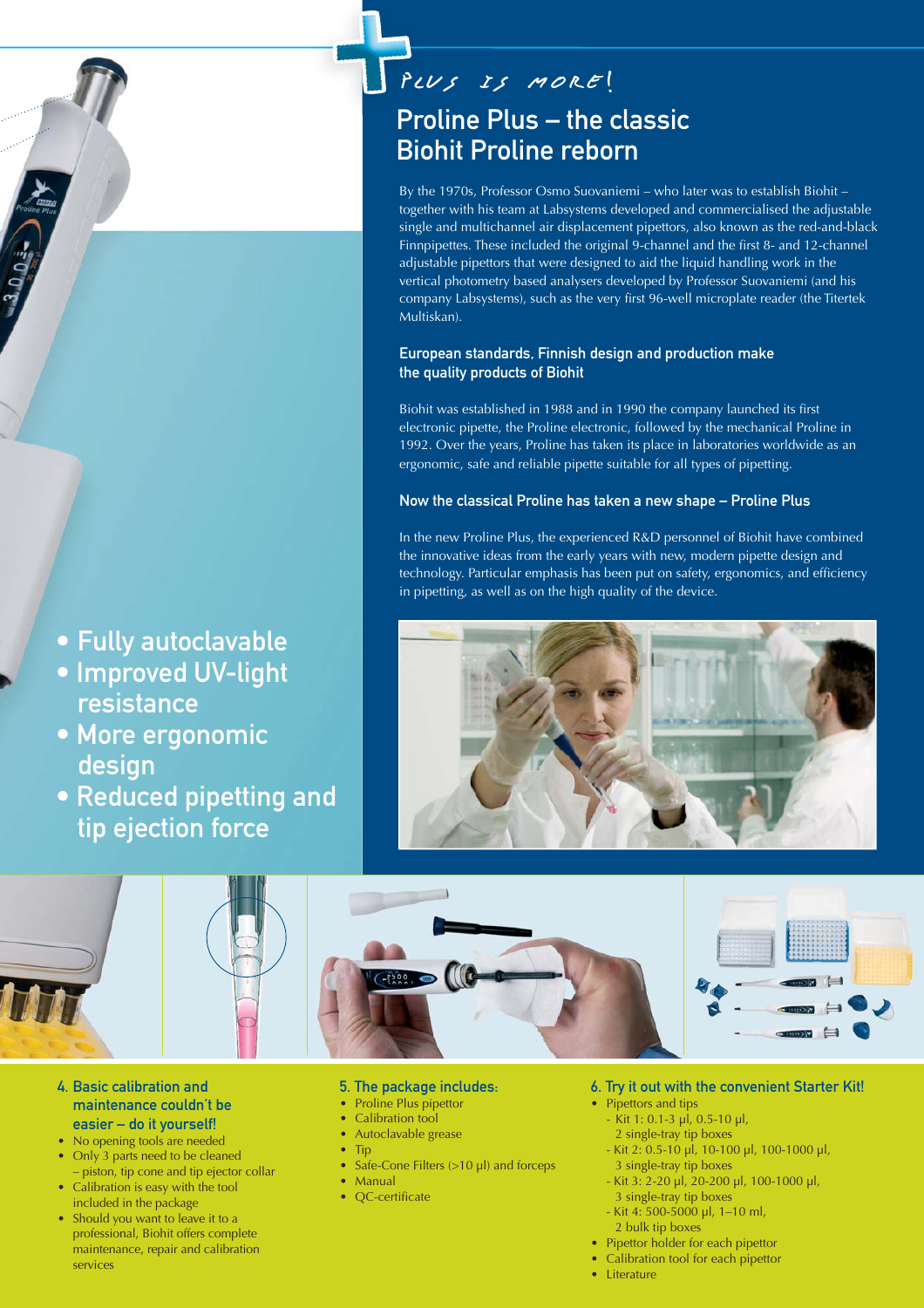## Proline Plus – the classic Biohit Proline reborn

By the 1970s, Professor Osmo Suovaniemi – who later was to establish Biohit – together with his team at Labsystems developed and commercialised the adjustable single and multichannel air displacement pipettors, also known as the red-and-black Finnpipettes. These included the original 9-channel and the first 8- and 12-channel adjustable pipettors that were designed to aid the liquid handling work in the vertical photometry based analysers developed by Professor Suovaniemi (and his company Labsystems), such as the very first 96-well microplate reader (the Titertek Multiskan).

### European standards, Finnish design and production make the quality products of Biohit

Biohit was established in 1988 and in 1990 the company launched its first electronic pipette, the Proline electronic, followed by the mechanical Proline in 1992. Over the years, Proline has taken its place in laboratories worldwide as an ergonomic, safe and reliable pipette suitable for all types of pipetting.

### Now the classical Proline has taken a new shape – Proline Plus

In the new Proline Plus, the experienced R&D personnel of Biohit have combined the innovative ideas from the early years with new, modern pipette design and technology. Particular emphasis has been put on safety, ergonomics, and efficiency in pipetting, as well as on the high quality of the device.





4. Basic calibration and maintenance couldn't be easier – do it yourself!

• Fully autoclavable

• Improved UV-light

• More ergonomic

tip ejection force

• Reduced pipetting and

resistance

design

- No opening tools are needed
- Only 3 parts need to be cleaned – piston, tip cone and tip ejector collar
- Calibration is easy with the tool included in the package
- Should you want to leave it to a professional, Biohit offers complete maintenance, repair and calibration services
- 5. The package includes:
- Proline Plus pipettor
- Calibration tool
- Autoclavable grease
- Tip
	- Safe-Cone Filters (>10 µl) and forceps
- **Manual**
- OC-certificate
- 6. Try it out with the convenient Starter Kit!
	- Pipettors and tips
	- Kit 1: 0.1-3 µl, 0.5-10 µl,
	- 2 single-tray tip boxes - Kit 2: 0.5-10 µl, 10-100 µl, 100-1000 µl,
	- 3 single-tray tip boxes - Kit 3: 2-20 µl, 20-200 µl, 100-1000 µl,
	- 3 single-tray tip boxes
	- Kit 4: 500-5000 µl, 1–10 ml,
	- 2 bulk tip boxes
	- Pipettor holder for each pipettor
- Calibration tool for each pipettor
- Literature